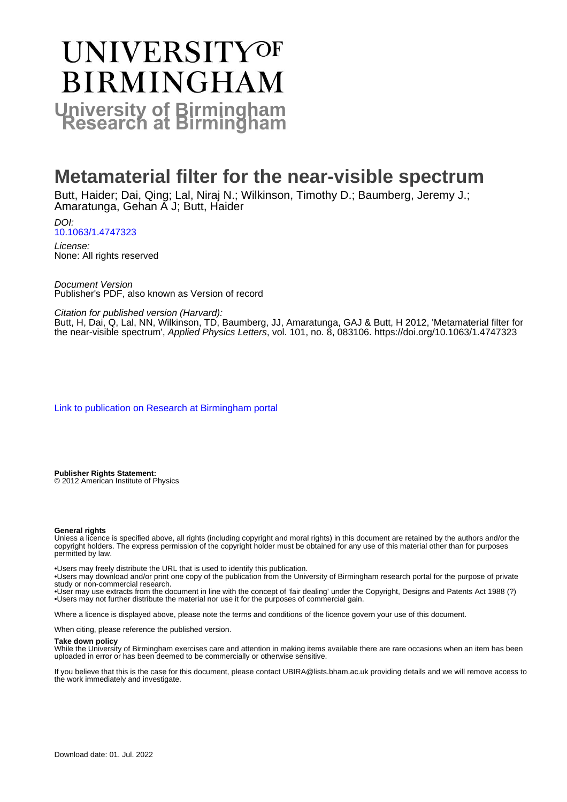# UNIVERSITYOF **BIRMINGHAM University of Birmingham**

# **Metamaterial filter for the near-visible spectrum**

Butt, Haider; Dai, Qing; Lal, Niraj N.; Wilkinson, Timothy D.; Baumberg, Jeremy J.; Amaratunga, Gehan A J; Butt, Haider

DOI: [10.1063/1.4747323](https://doi.org/10.1063/1.4747323)

License: None: All rights reserved

Document Version Publisher's PDF, also known as Version of record

Citation for published version (Harvard):

Butt, H, Dai, Q, Lal, NN, Wilkinson, TD, Baumberg, JJ, Amaratunga, GAJ & Butt, H 2012, 'Metamaterial filter for the near-visible spectrum', Applied Physics Letters, vol. 101, no. 8, 083106. <https://doi.org/10.1063/1.4747323>

[Link to publication on Research at Birmingham portal](https://birmingham.elsevierpure.com/en/publications/37d10d99-04db-4bd0-95d2-39f0ae17dde1)

**Publisher Rights Statement:** © 2012 American Institute of Physics

#### **General rights**

Unless a licence is specified above, all rights (including copyright and moral rights) in this document are retained by the authors and/or the copyright holders. The express permission of the copyright holder must be obtained for any use of this material other than for purposes permitted by law.

• Users may freely distribute the URL that is used to identify this publication.

• Users may download and/or print one copy of the publication from the University of Birmingham research portal for the purpose of private study or non-commercial research.

• User may use extracts from the document in line with the concept of 'fair dealing' under the Copyright, Designs and Patents Act 1988 (?) • Users may not further distribute the material nor use it for the purposes of commercial gain.

Where a licence is displayed above, please note the terms and conditions of the licence govern your use of this document.

When citing, please reference the published version.

#### **Take down policy**

While the University of Birmingham exercises care and attention in making items available there are rare occasions when an item has been uploaded in error or has been deemed to be commercially or otherwise sensitive.

If you believe that this is the case for this document, please contact UBIRA@lists.bham.ac.uk providing details and we will remove access to the work immediately and investigate.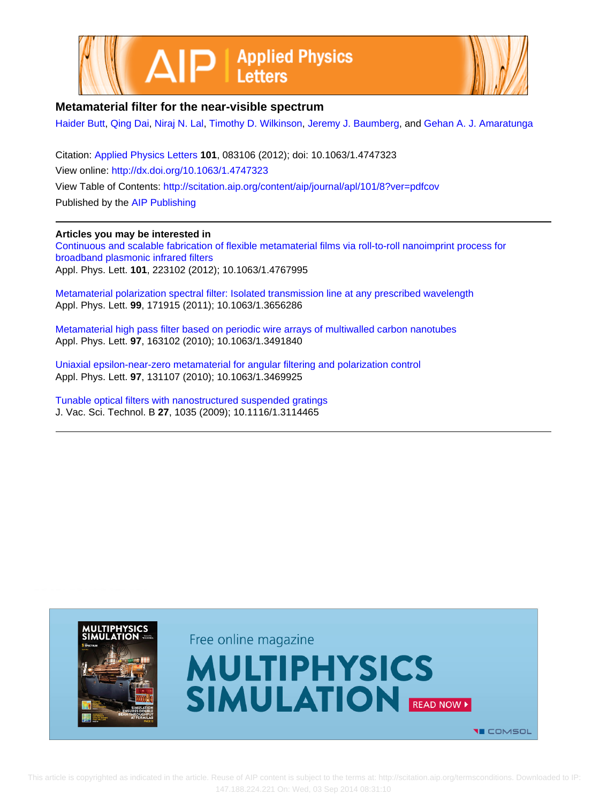



### **Metamaterial filter for the near-visible spectrum**

[Haider Butt](http://scitation.aip.org/search?value1=Haider+Butt&option1=author), [Qing Dai](http://scitation.aip.org/search?value1=Qing+Dai&option1=author), [Niraj N. Lal](http://scitation.aip.org/search?value1=Niraj+N.+Lal&option1=author), [Timothy D. Wilkinson,](http://scitation.aip.org/search?value1=Timothy+D.+Wilkinson&option1=author) [Jeremy J. Baumberg,](http://scitation.aip.org/search?value1=Jeremy+J.+Baumberg&option1=author) and [Gehan A. J. Amaratunga](http://scitation.aip.org/search?value1=Gehan+A.+J.+Amaratunga&option1=author)

Citation: [Applied Physics Letters](http://scitation.aip.org/content/aip/journal/apl?ver=pdfcov) **101**, 083106 (2012); doi: 10.1063/1.4747323 View online: <http://dx.doi.org/10.1063/1.4747323> View Table of Contents: <http://scitation.aip.org/content/aip/journal/apl/101/8?ver=pdfcov> Published by the [AIP Publishing](http://scitation.aip.org/content/aip?ver=pdfcov)

#### **Articles you may be interested in**

[Continuous and scalable fabrication of flexible metamaterial films via roll-to-roll nanoimprint process for](http://scitation.aip.org/content/aip/journal/apl/101/22/10.1063/1.4767995?ver=pdfcov) [broadband plasmonic infrared filters](http://scitation.aip.org/content/aip/journal/apl/101/22/10.1063/1.4767995?ver=pdfcov) Appl. Phys. Lett. **101**, 223102 (2012); 10.1063/1.4767995

[Metamaterial polarization spectral filter: Isolated transmission line at any prescribed wavelength](http://scitation.aip.org/content/aip/journal/apl/99/17/10.1063/1.3656286?ver=pdfcov) Appl. Phys. Lett. **99**, 171915 (2011); 10.1063/1.3656286

[Metamaterial high pass filter based on periodic wire arrays of multiwalled carbon nanotubes](http://scitation.aip.org/content/aip/journal/apl/97/16/10.1063/1.3491840?ver=pdfcov) Appl. Phys. Lett. **97**, 163102 (2010); 10.1063/1.3491840

[Uniaxial epsilon-near-zero metamaterial for angular filtering and polarization control](http://scitation.aip.org/content/aip/journal/apl/97/13/10.1063/1.3469925?ver=pdfcov) Appl. Phys. Lett. **97**, 131107 (2010); 10.1063/1.3469925

[Tunable optical filters with nanostructured suspended gratings](http://scitation.aip.org/content/avs/journal/jvstb/27/3/10.1116/1.3114465?ver=pdfcov) J. Vac. Sci. Technol. B **27**, 1035 (2009); 10.1116/1.3114465

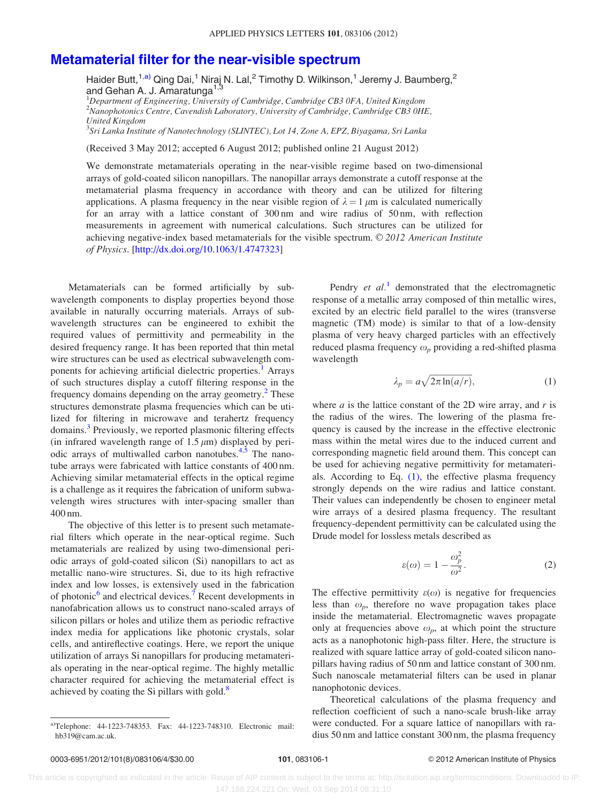## <span id="page-2-0"></span>[Metamaterial filter for the near-visible spectrum](http://dx.doi.org/10.1063/1.4747323)

Haider Butt,<sup>1,a)</sup> Qing Dai,<sup>1</sup> Niraj N. Lal,<sup>2</sup> Timothy D. Wilkinson,<sup>1</sup> Jeremy J. Baumberg,<sup>2</sup> and Gehan A. J. Amaratunga<sup>1,3</sup>

<sup>1</sup>Department of Engineering, University of Cambridge, Cambridge CB3 0FA, United Kingdom <sup>2</sup>Nanophotonics Centre, Cavendish Laboratory, University of Cambridge, Cambridge CB3 0HE, United Kingdom

<sup>3</sup>Sri Lanka Institute of Nanotechnology (SLINTEC), Lot 14, Zone A, EPZ, Biyagama, Sri Lanka

(Received 3 May 2012; accepted 6 August 2012; published online 21 August 2012)

We demonstrate metamaterials operating in the near-visible regime based on two-dimensional arrays of gold-coated silicon nanopillars. The nanopillar arrays demonstrate a cutoff response at the metamaterial plasma frequency in accordance with theory and can be utilized for filtering applications. A plasma frequency in the near visible region of  $\lambda = 1 \mu m$  is calculated numerically for an array with a lattice constant of 300 nm and wire radius of 50 nm, with reflection measurements in agreement with numerical calculations. Such structures can be utilized for achieving negative-index based metamaterials for the visible spectrum.  $\odot$  2012 American Institute of Physics. [\[http://dx.doi.org/10.1063/1.4747323](http://dx.doi.org/10.1063/1.4747323)]

Metamaterials can be formed artificially by subwavelength components to display properties beyond those available in naturally occurring materials. Arrays of subwavelength structures can be engineered to exhibit the required values of permittivity and permeability in the desired frequency range. It has been reported that thin metal wire structures can be used as electrical subwavelength com-ponents for achieving artificial dielectric properties.<sup>[1](#page-4-0)</sup> Arrays of such structures display a cutoff filtering response in the frequency domains depending on the array geometry.<sup>[2](#page-4-0)</sup> These structures demonstrate plasma frequencies which can be utilized for filtering in microwave and terahertz frequency domains.<sup>[3](#page-5-0)</sup> Previously, we reported plasmonic filtering effects (in infrared wavelength range of  $1.5 \mu m$ ) displayed by periodic arrays of multiwalled carbon nanotubes. $4,5$  The nanotube arrays were fabricated with lattice constants of 400 nm. Achieving similar metamaterial effects in the optical regime is a challenge as it requires the fabrication of uniform subwavelength wires structures with inter-spacing smaller than 400 nm.

The objective of this letter is to present such metamaterial filters which operate in the near-optical regime. Such metamaterials are realized by using two-dimensional periodic arrays of gold-coated silicon (Si) nanopillars to act as metallic nano-wire structures. Si, due to its high refractive index and low losses, is extensively used in the fabrication of photonic<sup>[6](#page-5-0)</sup> and electrical devices.<sup>[7](#page-5-0)</sup> Recent developments in nanofabrication allows us to construct nano-scaled arrays of silicon pillars or holes and utilize them as periodic refractive index media for applications like photonic crystals, solar cells, and antireflective coatings. Here, we report the unique utilization of arrays Si nanopillars for producing metamaterials operating in the near-optical regime. The highly metallic character required for achieving the metamaterial effect is achieved by coating the Si pillars with gold.<sup>[8](#page-5-0)</sup>

Pendry  $et \ al.<sup>1</sup>$  $et \ al.<sup>1</sup>$  $et \ al.<sup>1</sup>$  demonstrated that the electromagnetic response of a metallic array composed of thin metallic wires, excited by an electric field parallel to the wires (transverse magnetic (TM) mode) is similar to that of a low-density plasma of very heavy charged particles with an effectively reduced plasma frequency  $\omega_p$  providing a red-shifted plasma wavelength

$$
\lambda_p = a \sqrt{2\pi \ln(a/r)},\tag{1}
$$

where  $a$  is the lattice constant of the 2D wire array, and  $r$  is the radius of the wires. The lowering of the plasma frequency is caused by the increase in the effective electronic mass within the metal wires due to the induced current and corresponding magnetic field around them. This concept can be used for achieving negative permittivity for metamaterials. According to Eq. (1), the effective plasma frequency strongly depends on the wire radius and lattice constant. Their values can independently be chosen to engineer metal wire arrays of a desired plasma frequency. The resultant frequency-dependent permittivity can be calculated using the Drude model for lossless metals described as

$$
\varepsilon(\omega) = 1 - \frac{\omega_p^2}{\omega^2}.
$$
 (2)

The effective permittivity  $\varepsilon(\omega)$  is negative for frequencies less than  $\omega_p$ , therefore no wave propagation takes place inside the metamaterial. Electromagnetic waves propagate only at frequencies above  $\omega_p$ , at which point the structure acts as a nanophotonic high-pass filter. Here, the structure is realized with square lattice array of gold-coated silicon nanopillars having radius of 50 nm and lattice constant of 300 nm. Such nanoscale metamaterial filters can be used in planar nanophotonic devices.

Theoretical calculations of the plasma frequency and reflection coefficient of such a nano-scale brush-like array were conducted. For a square lattice of nanopillars with radius 50 nm and lattice constant 300 nm, the plasma frequency

a)Telephone: 44-1223-748353. Fax: 44-1223-748310. Electronic mail: hb319@cam.ac.uk.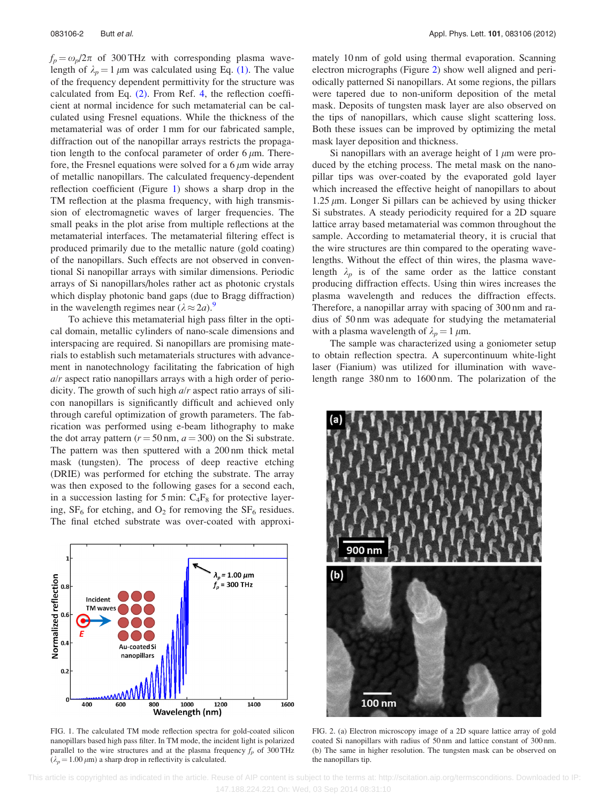$f_p = \omega_p/2\pi$  of 300 THz with corresponding plasma wavelength of  $\lambda_p = 1 \mu m$  was calculated using Eq. [\(1\).](#page-2-0) The value of the frequency dependent permittivity for the structure was calculated from Eq. [\(2\)](#page-2-0). From Ref. [4](#page-5-0), the reflection coefficient at normal incidence for such metamaterial can be calculated using Fresnel equations. While the thickness of the metamaterial was of order 1 mm for our fabricated sample, diffraction out of the nanopillar arrays restricts the propagation length to the confocal parameter of order  $6 \mu m$ . Therefore, the Fresnel equations were solved for a  $6 \mu m$  wide array of metallic nanopillars. The calculated frequency-dependent reflection coefficient (Figure 1) shows a sharp drop in the TM reflection at the plasma frequency, with high transmission of electromagnetic waves of larger frequencies. The small peaks in the plot arise from multiple reflections at the metamaterial interfaces. The metamaterial filtering effect is produced primarily due to the metallic nature (gold coating) of the nanopillars. Such effects are not observed in conventional Si nanopillar arrays with similar dimensions. Periodic arrays of Si nanopillars/holes rather act as photonic crystals which display photonic band gaps (due to Bragg diffraction) in the wavelength regimes near  $(\lambda \approx 2a)$ .

To achieve this metamaterial high pass filter in the optical domain, metallic cylinders of nano-scale dimensions and interspacing are required. Si nanopillars are promising materials to establish such metamaterials structures with advancement in nanotechnology facilitating the fabrication of high  $a/r$  aspect ratio nanopillars arrays with a high order of periodicity. The growth of such high  $a/r$  aspect ratio arrays of silicon nanopillars is significantly difficult and achieved only through careful optimization of growth parameters. The fabrication was performed using e-beam lithography to make the dot array pattern ( $r = 50$  nm,  $a = 300$ ) on the Si substrate. The pattern was then sputtered with a 200 nm thick metal mask (tungsten). The process of deep reactive etching (DRIE) was performed for etching the substrate. The array was then exposed to the following gases for a second each, in a succession lasting for 5 min:  $C_4F_8$  for protective layering,  $SF_6$  for etching, and  $O_2$  for removing the  $SF_6$  residues. The final etched substrate was over-coated with approxi-



FIG. 1. The calculated TM mode reflection spectra for gold-coated silicon nanopillars based high pass filter. In TM mode, the incident light is polarized parallel to the wire structures and at the plasma frequency  $f_p$  of 300 THz  $(\lambda_p = 1.00 \,\mu\text{m})$  a sharp drop in reflectivity is calculated.

mately 10 nm of gold using thermal evaporation. Scanning electron micrographs (Figure 2) show well aligned and periodically patterned Si nanopillars. At some regions, the pillars were tapered due to non-uniform deposition of the metal mask. Deposits of tungsten mask layer are also observed on the tips of nanopillars, which cause slight scattering loss. Both these issues can be improved by optimizing the metal mask layer deposition and thickness.

Si nanopillars with an average height of  $1 \mu m$  were produced by the etching process. The metal mask on the nanopillar tips was over-coated by the evaporated gold layer which increased the effective height of nanopillars to about 1.25  $\mu$ m. Longer Si pillars can be achieved by using thicker Si substrates. A steady periodicity required for a 2D square lattice array based metamaterial was common throughout the sample. According to metamaterial theory, it is crucial that the wire structures are thin compared to the operating wavelengths. Without the effect of thin wires, the plasma wavelength  $\lambda_p$  is of the same order as the lattice constant producing diffraction effects. Using thin wires increases the plasma wavelength and reduces the diffraction effects. Therefore, a nanopillar array with spacing of 300 nm and radius of 50 nm was adequate for studying the metamaterial with a plasma wavelength of  $\lambda_p = 1 \mu m$ .

The sample was characterized using a goniometer setup to obtain reflection spectra. A supercontinuum white-light laser (Fianium) was utilized for illumination with wavelength range 380 nm to 1600 nm. The polarization of the



FIG. 2. (a) Electron microscopy image of a 2D square lattice array of gold coated Si nanopillars with radius of 50 nm and lattice constant of 300 nm. (b) The same in higher resolution. The tungsten mask can be observed on the nanopillars tip.

 This article is copyrighted as indicated in the article. Reuse of AIP content is subject to the terms at: http://scitation.aip.org/termsconditions. Downloaded to IP: 147.188.224.221 On: Wed, 03 Sep 2014 08:31:10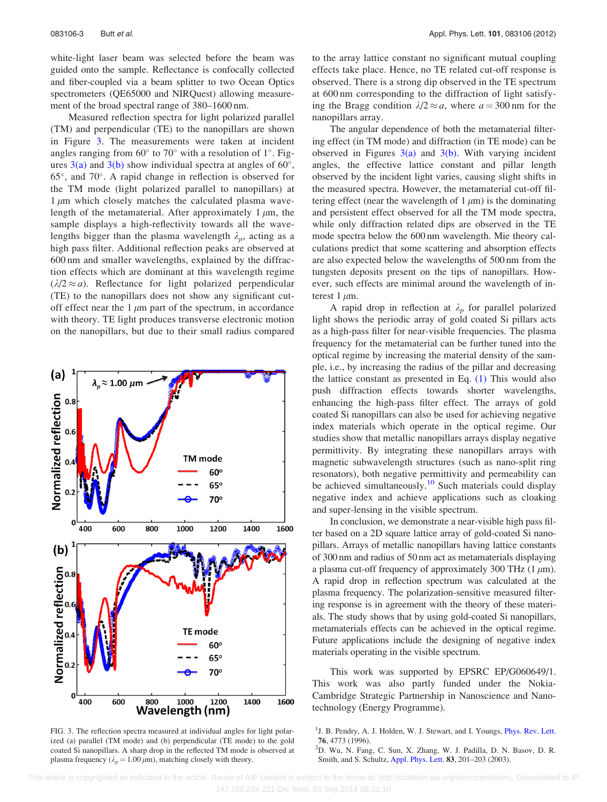<span id="page-4-0"></span>white-light laser beam was selected before the beam was guided onto the sample. Reflectance is confocally collected and fiber-coupled via a beam splitter to two Ocean Optics spectrometers (QE65000 and NIRQuest) allowing measurement of the broad spectral range of 380–1600 nm.

Measured reflection spectra for light polarized parallel (TM) and perpendicular (TE) to the nanopillars are shown in Figure 3. The measurements were taken at incident angles ranging from  $60^{\circ}$  to  $70^{\circ}$  with a resolution of  $1^{\circ}$ . Figures  $3(a)$  and  $3(b)$  show individual spectra at angles of  $60^{\circ}$ ,  $65^{\circ}$ , and  $70^{\circ}$ . A rapid change in reflection is observed for the TM mode (light polarized parallel to nanopillars) at  $1 \mu m$  which closely matches the calculated plasma wavelength of the metamaterial. After approximately  $1 \mu m$ , the sample displays a high-reflectivity towards all the wavelengths bigger than the plasma wavelength  $\lambda_p$ , acting as a high pass filter. Additional reflection peaks are observed at 600 nm and smaller wavelengths, explained by the diffraction effects which are dominant at this wavelength regime  $(\lambda/2 \approx a)$ . Reflectance for light polarized perpendicular (TE) to the nanopillars does not show any significant cutoff effect near the  $1 \mu m$  part of the spectrum, in accordance with theory. TE light produces transverse electronic motion on the nanopillars, but due to their small radius compared



FIG. 3. The reflection spectra measured at individual angles for light polarized (a) parallel (TM mode) and (b) perpendicular (TE mode) to the gold coated Si nanopillars. A sharp drop in the reflected TM mode is observed at plasma frequency ( $\lambda_p = 1.00 \,\mu\text{m}$ ), matching closely with theory.

to the array lattice constant no significant mutual coupling effects take place. Hence, no TE related cut-off response is observed. There is a strong dip observed in the TE spectrum at 600 nm corresponding to the diffraction of light satisfying the Bragg condition  $\lambda/2 \approx a$ , where  $a = 300$  nm for the nanopillars array.

The angular dependence of both the metamaterial filtering effect (in TM mode) and diffraction (in TE mode) can be observed in Figures  $3(a)$  and  $3(b)$ . With varying incident angles, the effective lattice constant and pillar length observed by the incident light varies, causing slight shifts in the measured spectra. However, the metamaterial cut-off filtering effect (near the wavelength of  $1 \mu m$ ) is the dominating and persistent effect observed for all the TM mode spectra, while only diffraction related dips are observed in the TE mode spectra below the 600 nm wavelength. Mie theory calculations predict that some scattering and absorption effects are also expected below the wavelengths of 500 nm from the tungsten deposits present on the tips of nanopillars. However, such effects are minimal around the wavelength of interest 1  $\mu$ m.

A rapid drop in reflection at  $\lambda_p$  for parallel polarized light shows the periodic array of gold coated Si pillars acts as a high-pass filter for near-visible frequencies. The plasma frequency for the metamaterial can be further tuned into the optical regime by increasing the material density of the sample, i.e., by increasing the radius of the pillar and decreasing the lattice constant as presented in Eq. [\(1\)](#page-2-0) This would also push diffraction effects towards shorter wavelengths, enhancing the high-pass filter effect. The arrays of gold coated Si nanopillars can also be used for achieving negative index materials which operate in the optical regime. Our studies show that metallic nanopillars arrays display negative permittivity. By integrating these nanopillars arrays with magnetic subwavelength structures (such as nano-split ring resonators), both negative permittivity and permeability can be achieved simultaneously.<sup>[10](#page-5-0)</sup> Such materials could display negative index and achieve applications such as cloaking and super-lensing in the visible spectrum.

In conclusion, we demonstrate a near-visible high pass filter based on a 2D square lattice array of gold-coated Si nanopillars. Arrays of metallic nanopillars having lattice constants of 300 nm and radius of 50 nm act as metamaterials displaying a plasma cut-off frequency of approximately 300 THz  $(1 \mu m)$ . A rapid drop in reflection spectrum was calculated at the plasma frequency. The polarization-sensitive measured filtering response is in agreement with the theory of these materials. The study shows that by using gold-coated Si nanopillars, metamaterials effects can be achieved in the optical regime. Future applications include the designing of negative index materials operating in the visible spectrum.

This work was supported by EPSRC EP/G060649/1. This work was also partly funded under the Nokia-Cambridge Strategic Partnership in Nanoscience and Nanotechnology (Energy Programme).

D. Wu, N. Fang, C. Sun, X. Zhang, W. J. Padilla, D. N. Basov, D. R. Smith, and S. Schultz, [Appl. Phys. Lett.](http://dx.doi.org/10.1063/1.1591083) 83, 201–203 (2003).

 This article is copyrighted as indicated in the article. Reuse of AIP content is subject to the terms at: http://scitation.aip.org/termsconditions. Downloaded to IP: 147.188.224.221 On: Wed, 03 Sep 2014 08:31:10

<sup>&</sup>lt;sup>1</sup>J. B. Pendry, A. J. Holden, W. J. Stewart, and I. Youngs, *[Phys. Rev. Lett.](http://dx.doi.org/10.1103/PhysRevLett.76.4773)* <sup>76</sup>, 4773 (1996). <sup>2</sup>